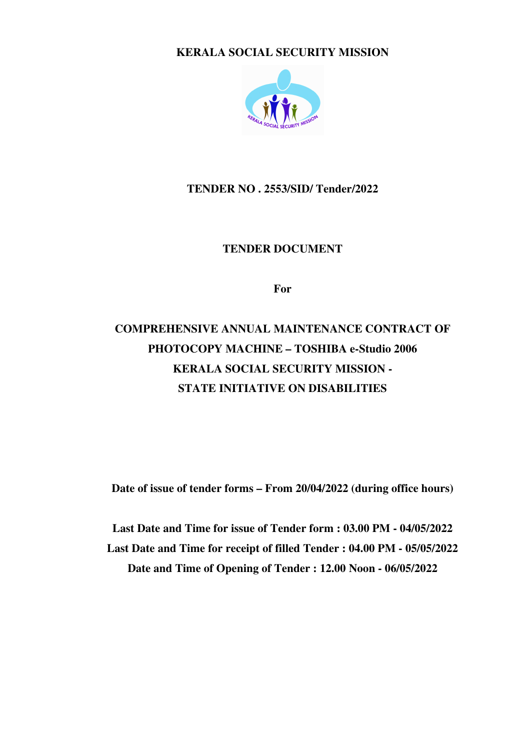**KERALA SOCIAL SECURITY MISSION** 



**TENDER NO . 2553/SID/ Tender/2022** 

**TENDER DOCUMENT** 

**For** 

## **COMPREHENSIVE ANNUAL MAINTENANCE CONTRACT OF PHOTOCOPY MACHINE – TOSHIBA e-Studio 2006 KERALA SOCIAL SECURITY MISSION - STATE INITIATIVE ON DISABILITIES**

**Date of issue of tender forms – From 20/04/2022 (during office hours)** 

**Last Date and Time for issue of Tender form : 03.00 PM - 04/05/2022 Last Date and Time for receipt of filled Tender : 04.00 PM - 05/05/2022 Date and Time of Opening of Tender : 12.00 Noon - 06/05/2022**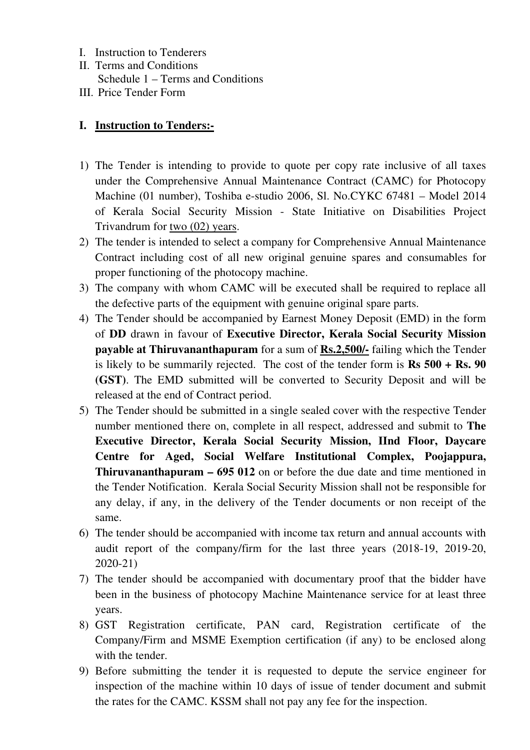- I. Instruction to Tenderers
- II. Terms and Conditions Schedule 1 – Terms and Conditions
- III. Price Tender Form

## **I. Instruction to Tenders:-**

- 1) The Tender is intending to provide to quote per copy rate inclusive of all taxes under the Comprehensive Annual Maintenance Contract (CAMC) for Photocopy Machine (01 number), Toshiba e-studio 2006, Sl. No.CYKC 67481 – Model 2014 of Kerala Social Security Mission - State Initiative on Disabilities Project Trivandrum for two (02) years.
- 2) The tender is intended to select a company for Comprehensive Annual Maintenance Contract including cost of all new original genuine spares and consumables for proper functioning of the photocopy machine.
- 3) The company with whom CAMC will be executed shall be required to replace all the defective parts of the equipment with genuine original spare parts.
- 4) The Tender should be accompanied by Earnest Money Deposit (EMD) in the form of **DD** drawn in favour of **Executive Director, Kerala Social Security Mission payable at Thiruvananthapuram** for a sum of **Rs.2,500/-** failing which the Tender is likely to be summarily rejected. The cost of the tender form is **Rs 500 + Rs. 90 (GST)**. The EMD submitted will be converted to Security Deposit and will be released at the end of Contract period.
- 5) The Tender should be submitted in a single sealed cover with the respective Tender number mentioned there on, complete in all respect, addressed and submit to **The Executive Director, Kerala Social Security Mission, IInd Floor, Daycare Centre for Aged, Social Welfare Institutional Complex, Poojappura, Thiruvananthapuram – 695 012** on or before the due date and time mentioned in the Tender Notification. Kerala Social Security Mission shall not be responsible for any delay, if any, in the delivery of the Tender documents or non receipt of the same.
- 6) The tender should be accompanied with income tax return and annual accounts with audit report of the company/firm for the last three years (2018-19, 2019-20, 2020-21)
- 7) The tender should be accompanied with documentary proof that the bidder have been in the business of photocopy Machine Maintenance service for at least three years.
- 8) GST Registration certificate, PAN card, Registration certificate of the Company/Firm and MSME Exemption certification (if any) to be enclosed along with the tender.
- 9) Before submitting the tender it is requested to depute the service engineer for inspection of the machine within 10 days of issue of tender document and submit the rates for the CAMC. KSSM shall not pay any fee for the inspection.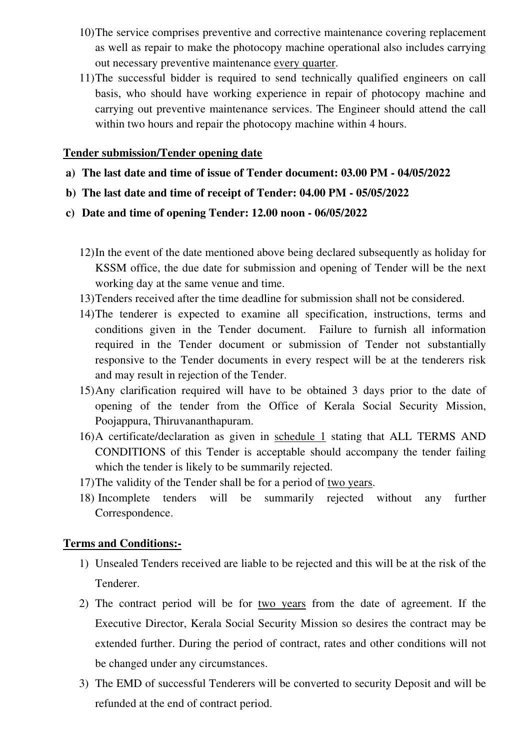- 10)The service comprises preventive and corrective maintenance covering replacement as well as repair to make the photocopy machine operational also includes carrying out necessary preventive maintenance every quarter.
- 11)The successful bidder is required to send technically qualified engineers on call basis, who should have working experience in repair of photocopy machine and carrying out preventive maintenance services. The Engineer should attend the call within two hours and repair the photocopy machine within 4 hours.

## **Tender submission/Tender opening date**

- **a) The last date and time of issue of Tender document: 03.00 PM 04/05/2022**
- **b) The last date and time of receipt of Tender: 04.00 PM 05/05/2022**
- **c) Date and time of opening Tender: 12.00 noon 06/05/2022**
	- 12)In the event of the date mentioned above being declared subsequently as holiday for KSSM office, the due date for submission and opening of Tender will be the next working day at the same venue and time.
	- 13)Tenders received after the time deadline for submission shall not be considered.
	- 14)The tenderer is expected to examine all specification, instructions, terms and conditions given in the Tender document. Failure to furnish all information required in the Tender document or submission of Tender not substantially responsive to the Tender documents in every respect will be at the tenderers risk and may result in rejection of the Tender.
	- 15)Any clarification required will have to be obtained 3 days prior to the date of opening of the tender from the Office of Kerala Social Security Mission, Poojappura, Thiruvananthapuram.
	- 16)A certificate/declaration as given in schedule 1 stating that ALL TERMS AND CONDITIONS of this Tender is acceptable should accompany the tender failing which the tender is likely to be summarily rejected.
	- 17)The validity of the Tender shall be for a period of two years.
	- 18) Incomplete tenders will be summarily rejected without any further Correspondence.

## **Terms and Conditions:-**

- 1) Unsealed Tenders received are liable to be rejected and this will be at the risk of the Tenderer.
- 2) The contract period will be for two years from the date of agreement. If the Executive Director, Kerala Social Security Mission so desires the contract may be extended further. During the period of contract, rates and other conditions will not be changed under any circumstances.
- 3) The EMD of successful Tenderers will be converted to security Deposit and will be refunded at the end of contract period.